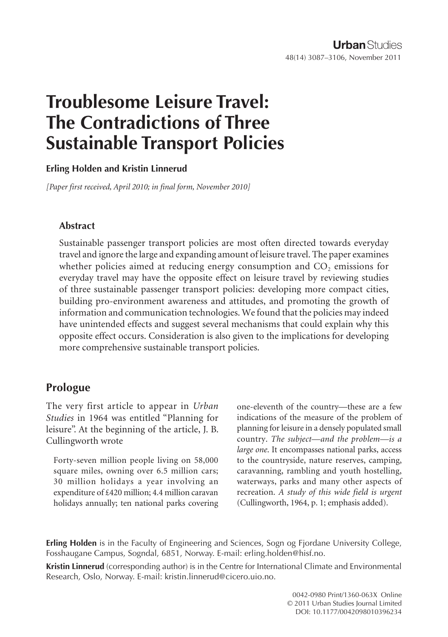# **Troublesome Leisure Travel: The Contradictions of Three Sustainable Transport Policies**

### **Erling Holden and Kristin Linnerud**

*[Paper first received, April 2010; in final form, November 2010]*

### **Abstract**

Sustainable passenger transport policies are most often directed towards everyday travel and ignore the large and expanding amount of leisure travel. The paper examines whether policies aimed at reducing energy consumption and  $CO<sub>2</sub>$  emissions for everyday travel may have the opposite effect on leisure travel by reviewing studies of three sustainable passenger transport policies: developing more compact cities, building pro-environment awareness and attitudes, and promoting the growth of information and communication technologies. We found that the policies may indeed have unintended effects and suggest several mechanisms that could explain why this opposite effect occurs. Consideration is also given to the implications for developing more comprehensive sustainable transport policies.

## **Prologue**

The very first article to appear in *Urban Studies* in 1964 was entitled "Planning for leisure". At the beginning of the article, J. B. Cullingworth wrote

Forty-seven million people living on 58,000 square miles, owning over 6.5 million cars; 30 million holidays a year involving an expenditure of £420 million; 4.4 million caravan holidays annually; ten national parks covering one-eleventh of the country—these are a few indications of the measure of the problem of planning for leisure in a densely populated small country. *The subject—and the problem—is a large one*. It encompasses national parks, access to the countryside, nature reserves, camping, caravanning, rambling and youth hostelling, waterways, parks and many other aspects of recreation. *A study of this wide field is urgent*  (Cullingworth, 1964, p. 1; emphasis added).

**Erling Holden** is in the Faculty of Engineering and Sciences, Sogn og Fjordane University College, Fosshaugane Campus, Sogndal, 6851, Norway. E-mail: erling.holden@hisf.no.

**Kristin Linnerud** (corresponding author) is in the Centre for International Climate and Environmental Research, Oslo, Norway. E-mail: kristin.linnerud@cicero.uio.no.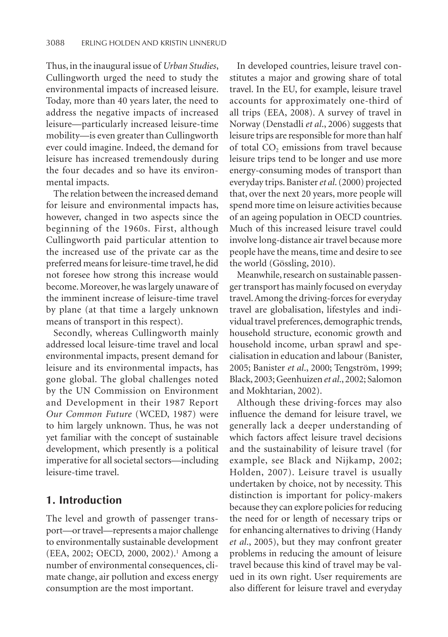Thus, in the inaugural issue of *Urban Studies*, Cullingworth urged the need to study the environmental impacts of increased leisure. Today, more than 40 years later, the need to address the negative impacts of increased leisure—particularly increased leisure-time mobility—is even greater than Cullingworth ever could imagine. Indeed, the demand for leisure has increased tremendously during the four decades and so have its environmental impacts.

The relation between the increased demand for leisure and environmental impacts has, however, changed in two aspects since the beginning of the 1960s. First, although Cullingworth paid particular attention to the increased use of the private car as the preferred means for leisure-time travel, he did not foresee how strong this increase would become. Moreover, he was largely unaware of the imminent increase of leisure-time travel by plane (at that time a largely unknown means of transport in this respect).

Secondly, whereas Cullingworth mainly addressed local leisure-time travel and local environmental impacts, present demand for leisure and its environmental impacts, has gone global. The global challenges noted by the UN Commission on Environment and Development in their 1987 Report *Our Common Future* (WCED, 1987) were to him largely unknown. Thus, he was not yet familiar with the concept of sustainable development, which presently is a political imperative for all societal sectors—including leisure-time travel.

## **1. Introduction**

The level and growth of passenger transport—or travel—represents a major challenge to environmentally sustainable development (EEA, 2002; OECD, 2000, 2002).<sup>1</sup> Among a number of environmental consequences, climate change, air pollution and excess energy consumption are the most important.

In developed countries, leisure travel constitutes a major and growing share of total travel. In the EU, for example, leisure travel accounts for approximately one-third of all trips (EEA, 2008). A survey of travel in Norway (Denstadli *et al*., 2006) suggests that leisure trips are responsible for more than half of total CO<sub>2</sub> emissions from travel because leisure trips tend to be longer and use more energy-consuming modes of transport than everyday trips. Banister *et al*. (2000) projected that, over the next 20 years, more people will spend more time on leisure activities because of an ageing population in OECD countries. Much of this increased leisure travel could involve long-distance air travel because more people have the means, time and desire to see the world (Gössling, 2010).

Meanwhile, research on sustainable passenger transport has mainly focused on everyday travel. Among the driving-forces for everyday travel are globalisation, lifestyles and individual travel preferences, demographic trends, household structure, economic growth and household income, urban sprawl and specialisation in education and labour (Banister, 2005; Banister *et al*., 2000; Tengström, 1999; Black, 2003; Geenhuizen *et al*., 2002; Salomon and Mokhtarian, 2002).

Although these driving-forces may also influence the demand for leisure travel, we generally lack a deeper understanding of which factors affect leisure travel decisions and the sustainability of leisure travel (for example, see Black and Nijkamp, 2002; Holden, 2007). Leisure travel is usually undertaken by choice, not by necessity. This distinction is important for policy-makers because they can explore policies for reducing the need for or length of necessary trips or for enhancing alternatives to driving (Handy *et al*., 2005), but they may confront greater problems in reducing the amount of leisure travel because this kind of travel may be valued in its own right. User requirements are also different for leisure travel and everyday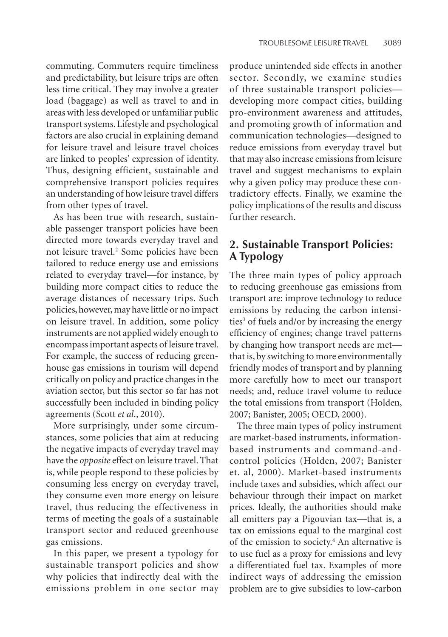commuting. Commuters require timeliness and predictability, but leisure trips are often less time critical. They may involve a greater load (baggage) as well as travel to and in areas with less developed or unfamiliar public transport systems. Lifestyle and psychological factors are also crucial in explaining demand for leisure travel and leisure travel choices are linked to peoples' expression of identity. Thus, designing efficient, sustainable and comprehensive transport policies requires an understanding of how leisure travel differs from other types of travel.

As has been true with research, sustainable passenger transport policies have been directed more towards everyday travel and not leisure travel.<sup>2</sup> Some policies have been tailored to reduce energy use and emissions related to everyday travel—for instance, by building more compact cities to reduce the average distances of necessary trips. Such policies, however, may have little or no impact on leisure travel. In addition, some policy instruments are not applied widely enough to encompass important aspects of leisure travel. For example, the success of reducing greenhouse gas emissions in tourism will depend critically on policy and practice changes in the aviation sector, but this sector so far has not successfully been included in binding policy agreements (Scott *et al*., 2010).

More surprisingly, under some circumstances, some policies that aim at reducing the negative impacts of everyday travel may have the *opposite* effect on leisure travel. That is, while people respond to these policies by consuming less energy on everyday travel, they consume even more energy on leisure travel, thus reducing the effectiveness in terms of meeting the goals of a sustainable transport sector and reduced greenhouse gas emissions.

In this paper, we present a typology for sustainable transport policies and show why policies that indirectly deal with the emissions problem in one sector may produce unintended side effects in another sector. Secondly, we examine studies of three sustainable transport policies developing more compact cities, building pro-environment awareness and attitudes, and promoting growth of information and communication technologies—designed to reduce emissions from everyday travel but that may also increase emissions from leisure travel and suggest mechanisms to explain why a given policy may produce these contradictory effects. Finally, we examine the policy implications of the results and discuss further research.

## **2. Sustainable Transport Policies: A Typology**

The three main types of policy approach to reducing greenhouse gas emissions from transport are: improve technology to reduce emissions by reducing the carbon intensities<sup>3</sup> of fuels and/or by increasing the energy efficiency of engines; change travel patterns by changing how transport needs are met that is, by switching to more environmentally friendly modes of transport and by planning more carefully how to meet our transport needs; and, reduce travel volume to reduce the total emissions from transport (Holden, 2007; Banister, 2005; OECD, 2000).

The three main types of policy instrument are market-based instruments, informationbased instruments and command-andcontrol policies (Holden, 2007; Banister et. al, 2000). Market-based instruments include taxes and subsidies, which affect our behaviour through their impact on market prices. Ideally, the authorities should make all emitters pay a Pigouvian tax—that is, a tax on emissions equal to the marginal cost of the emission to society.4 An alternative is to use fuel as a proxy for emissions and levy a differentiated fuel tax. Examples of more indirect ways of addressing the emission problem are to give subsidies to low-carbon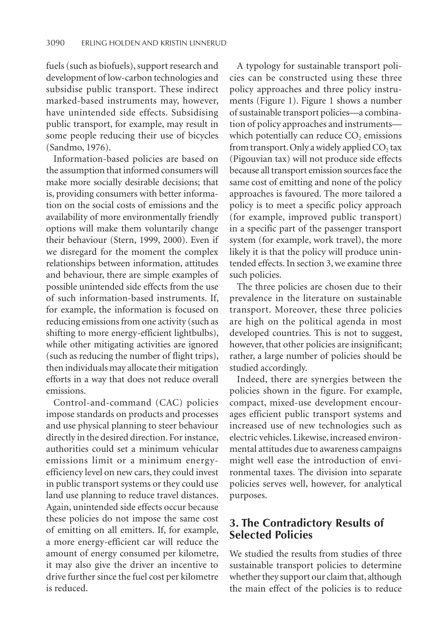fuels (such as biofuels), support research and development of low-carbon technologies and subsidise public transport. These indirect marked-based instruments may, however, have unintended side effects. Subsidising public transport, for example, may result in some people reducing their use of bicycles (Sandmo, 1976).

Information-based policies are based on the assumption that informed consumers will make more socially desirable decisions; that is, providing consumers with better information on the social costs of emissions and the availability of more environmentally friendly options will make them voluntarily change their behaviour (Stern, 1999, 2000). Even if we disregard for the moment the complex relationships between information, attitudes and behaviour, there are simple examples of possible unintended side effects from the use of such information-based instruments. If, for example, the information is focused on reducing emissions from one activity (such as shifting to more energy-efficient lightbulbs), while other mitigating activities are ignored (such as reducing the number of flight trips), then individuals may allocate their mitigation efforts in a way that does not reduce overall emissions.

Control-and-command (CAC) policies impose standards on products and processes and use physical planning to steer behaviour directly in the desired direction. For instance, authorities could set a minimum vehicular emissions limit or a minimum energyefficiency level on new cars, they could invest in public transport systems or they could use land use planning to reduce travel distances. Again, unintended side effects occur because these policies do not impose the same cost of emitting on all emitters. If, for example, a more energy-efficient car will reduce the amount of energy consumed per kilometre, it may also give the driver an incentive to drive further since the fuel cost per kilometre is reduced.

A typology for sustainable transport policies can be constructed using these three policy approaches and three policy instruments (Figure 1). Figure 1 shows a number of sustainable transport policies—a combination of policy approaches and instruments which potentially can reduce  $CO<sub>2</sub>$  emissions from transport. Only a widely applied CO<sub>2</sub> tax (Pigouvian tax) will not produce side effects because all transport emission sources face the same cost of emitting and none of the policy approaches is favoured. The more tailored a policy is to meet a specific policy approach (for example, improved public transport) in a specific part of the passenger transport system (for example, work travel), the more likely it is that the policy will produce unintended effects. In section 3, we examine three such policies.

The three policies are chosen due to their prevalence in the literature on sustainable transport. Moreover, these three policies are high on the political agenda in most developed countries. This is not to suggest, however, that other policies are insignificant; rather, a large number of policies should be studied accordingly.

Indeed, there are synergies between the policies shown in the figure. For example, compact, mixed-use development encourages efficient public transport systems and increased use of new technologies such as electric vehicles. Likewise, increased environmental attitudes due to awareness campaigns might well ease the introduction of environmental taxes. The division into separate policies serves well, however, for analytical purposes.

## **3. The Contradictory Results of Selected Policies**

We studied the results from studies of three sustainable transport policies to determine whether they support our claim that, although the main effect of the policies is to reduce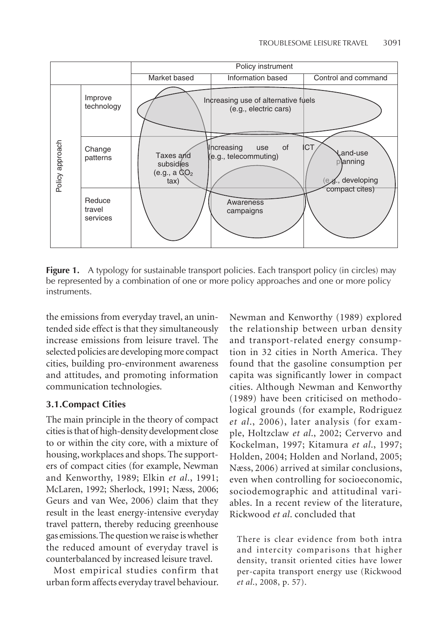

**Figure 1.** A typology for sustainable transport policies. Each transport policy (in circles) may be represented by a combination of one or more policy approaches and one or more policy instruments.

the emissions from everyday travel, an unintended side effect is that they simultaneously increase emissions from leisure travel. The selected policies are developing more compact cities, building pro-environment awareness and attitudes, and promoting information communication technologies.

#### **3.1.Compact Cities**

The main principle in the theory of compact cities is that of high-density development close to or within the city core, with a mixture of housing, workplaces and shops. The supporters of compact cities (for example, Newman and Kenworthy, 1989; Elkin *et al*., 1991; McLaren, 1992; Sherlock, 1991; Næss, 2006; Geurs and van Wee, 2006) claim that they result in the least energy-intensive everyday travel pattern, thereby reducing greenhouse gas emissions. The question we raise is whether the reduced amount of everyday travel is counterbalanced by increased leisure travel.

Most empirical studies confirm that urban form affects everyday travel behaviour.

Newman and Kenworthy (1989) explored the relationship between urban density and transport-related energy consumption in 32 cities in North America. They found that the gasoline consumption per capita was significantly lower in compact cities. Although Newman and Kenworthy (1989) have been criticised on methodological grounds (for example, Rodriguez *et al*., 2006), later analysis (for example, Holtzclaw *et al*., 2002; Cervervo and Kockelman, 1997; Kitamura *et al*., 1997; Holden, 2004; Holden and Norland, 2005; Næss, 2006) arrived at similar conclusions, even when controlling for socioeconomic, sociodemographic and attitudinal variables. In a recent review of the literature, Rickwood *et al*. concluded that

There is clear evidence from both intra and intercity comparisons that higher density, transit oriented cities have lower per-capita transport energy use (Rickwood *et al*., 2008, p. 57).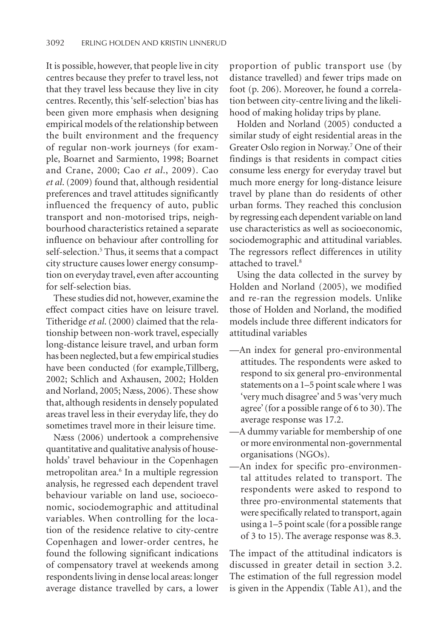It is possible, however, that people live in city centres because they prefer to travel less, not that they travel less because they live in city centres. Recently, this 'self-selection' bias has been given more emphasis when designing empirical models of the relationship between the built environment and the frequency of regular non-work journeys (for example, Boarnet and Sarmiento, 1998; Boarnet and Crane, 2000; Cao *et al*., 2009). Cao *et al*. (2009) found that, although residential preferences and travel attitudes significantly influenced the frequency of auto, public transport and non-motorised trips, neighbourhood characteristics retained a separate influence on behaviour after controlling for self-selection.<sup>5</sup> Thus, it seems that a compact city structure causes lower energy consumption on everyday travel, even after accounting for self-selection bias.

These studies did not, however, examine the effect compact cities have on leisure travel. Titheridge *et al*. (2000) claimed that the relationship between non-work travel, especially long-distance leisure travel, and urban form has been neglected, but a few empirical studies have been conducted (for example,Tillberg, 2002; Schlich and Axhausen, 2002; Holden and Norland, 2005; Næss, 2006). These show that, although residents in densely populated areas travel less in their everyday life, they do sometimes travel more in their leisure time.

Næss (2006) undertook a comprehensive quantitative and qualitative analysis of households' travel behaviour in the Copenhagen metropolitan area.<sup>6</sup> In a multiple regression analysis, he regressed each dependent travel behaviour variable on land use, socioeconomic, sociodemographic and attitudinal variables. When controlling for the location of the residence relative to city-centre Copenhagen and lower-order centres, he found the following significant indications of compensatory travel at weekends among respondents living in dense local areas: longer average distance travelled by cars, a lower

proportion of public transport use (by distance travelled) and fewer trips made on foot (p. 206). Moreover, he found a correlation between city-centre living and the likelihood of making holiday trips by plane.

Holden and Norland (2005) conducted a similar study of eight residential areas in the Greater Oslo region in Norway.7 One of their findings is that residents in compact cities consume less energy for everyday travel but much more energy for long-distance leisure travel by plane than do residents of other urban forms. They reached this conclusion by regressing each dependent variable on land use characteristics as well as socioeconomic, sociodemographic and attitudinal variables. The regressors reflect differences in utility attached to travel.<sup>8</sup>

Using the data collected in the survey by Holden and Norland (2005), we modified and re-ran the regression models. Unlike those of Holden and Norland, the modified models include three different indicators for attitudinal variables

- —An index for general pro-environmental attitudes. The respondents were asked to respond to six general pro-environmental statements on a 1–5 point scale where 1 was 'very much disagree' and 5 was 'very much agree' (for a possible range of 6 to 30). The average response was 17.2.
- —A dummy variable for membership of one or more environmental non-governmental organisations (NGOs).
- —An index for specific pro-environmental attitudes related to transport. The respondents were asked to respond to three pro-environmental statements that were specifically related to transport, again using a 1–5 point scale (for a possible range of 3 to 15). The average response was 8.3.

The impact of the attitudinal indicators is discussed in greater detail in section 3.2. The estimation of the full regression model is given in the Appendix (Table A1), and the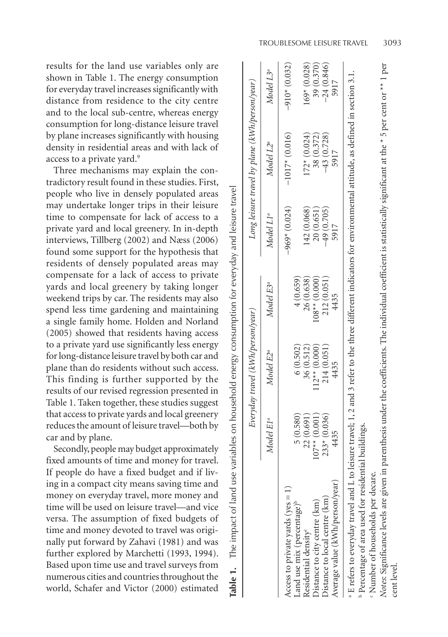results for the land use variables only are shown in Table 1. The energy consumption for everyday travel increases significantly with distance from residence to the city centre and to the local sub-centre, whereas energy consumption for long-distance leisure travel by plane increases significantly with housing density in residential areas and with lack of access to a private yard.<sup>9</sup>

Three mechanisms may explain the contradictory result found in these studies. First, people who live in densely populated areas may undertake longer trips in their leisure time to compensate for lack of access to a private yard and local greenery. In in-depth interviews, Tillberg (2002) and Næss (2006) found some support for the hypothesis that residents of densely populated areas may compensate for a lack of access to private yards and local greenery by taking longer weekend trips by car. The residents may also spend less time gardening and maintaining a single family home. Holden and Norland (2005) showed that residents having access to a private yard use significantly less energy for long-distance leisure travel by both car and plane than do residents without such access. This finding is further supported by the results of our revised regression presented in Table 1. Taken together, these studies suggest that access to private yards and local greenery reduces the amount of leisure travel—both by car and by plane.

Secondly, people may budget approximately fixed amounts of time and money for travel. If people do have a fixed budget and if living in a compact city means saving time and money on everyday travel, more money and time will be used on leisure travel—and vice versa. The assumption of fixed budgets of time and money devoted to travel was originally put forward by Zahavi (1981) and was further explored by Marchetti (1993, 1994). Based upon time use and travel surveys from numerous cities and countries throughout the world, Schafer and Victor (2000) estimated

|                                                    |               | Everyday travel (kWh/person/year) |                 |                | Long leisure travel by plane (kWh/person/year)                                                                           |                       |
|----------------------------------------------------|---------------|-----------------------------------|-----------------|----------------|--------------------------------------------------------------------------------------------------------------------------|-----------------------|
|                                                    | Model E1ª     | Model E2ª                         | Model E3ª       | Model L1ª      | Model L2ª                                                                                                                | Model L <sup>3ª</sup> |
| Access to private yards ( $yes = 1$ )              |               |                                   |                 | $-969*(0.024)$ | $-1017*(0.016)$                                                                                                          | $-910*(0.032)$        |
| Land use mix (percentage) <sup>b</sup>             | 5(0.580)      | 6(0.502)                          | 4(0.659)        |                |                                                                                                                          |                       |
| Residential density <sup>c</sup>                   | 22 (0.691     | 36 (0.512)                        | 26 (0.638)      | 142 (0.068)    | $72*(0.024)$                                                                                                             | $169*(0.028)$         |
| Distance to city centre (km)                       | 100.001       | $12** (0.000)$                    | $.08**$ (0.000) | 20 (0.651)     |                                                                                                                          | 39 (0.370)            |
| Distance to local centre (km)                      | $233*(0.036)$ | 214 (0.051)                       | 212(0.051)      | $-49(0.705)$   | $\begin{array}{c} 38 \ (0.372) \\ -43 \ (0.728) \end{array}$                                                             | $-24(0.846)$          |
| Average value (kWh/person/year)                    | 4435          | 4435                              | 4435            | 5917           | 5917                                                                                                                     | 5917                  |
| E refers to everyday travel and L to               |               |                                   |                 |                | leisure travel; 1, 2 and 3 refer to the three different indicators for environmental attitude, as defined in section 3.1 |                       |
| Percentage of area used for residential buildings. |               |                                   |                 |                |                                                                                                                          |                       |
| <sup>c</sup> Number of households per decare.      |               |                                   |                 |                |                                                                                                                          |                       |

**Table 1.** The impact of land use variables on household energy consumption for everyday and leisure travel

Table 1.

The impact of land use variables on household energy consumption for everyday and leisure travel

*Notes*: Significance levels are given in parenthesis under the coefficients. The individual coefficient is statistically significant at the \* 5 per cent or \*\* 1 per

Votes: Significance levels are given in parenthesis under the coefficients. The individual coefficient is statistically significant at the  $*$  5 per cent or  $*^*$  1 per

cent level.

ent level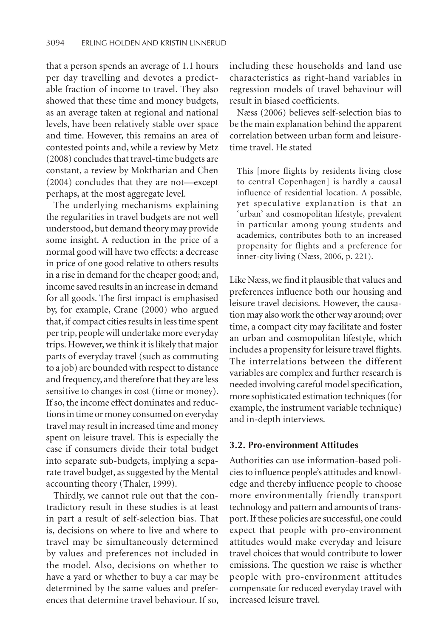that a person spends an average of 1.1 hours per day travelling and devotes a predictable fraction of income to travel. They also showed that these time and money budgets, as an average taken at regional and national levels, have been relatively stable over space and time. However, this remains an area of contested points and, while a review by Metz (2008) concludes that travel-time budgets are constant, a review by Moktharian and Chen (2004) concludes that they are not—except perhaps, at the most aggregate level.

The underlying mechanisms explaining the regularities in travel budgets are not well understood, but demand theory may provide some insight. A reduction in the price of a normal good will have two effects: a decrease in price of one good relative to others results in a rise in demand for the cheaper good; and, income saved results in an increase in demand for all goods. The first impact is emphasised by, for example, Crane (2000) who argued that, if compact cities results in less time spent per trip, people will undertake more everyday trips. However, we think it is likely that major parts of everyday travel (such as commuting to a job) are bounded with respect to distance and frequency, and therefore that they are less sensitive to changes in cost (time or money). If so, the income effect dominates and reductions in time or money consumed on everyday travel may result in increased time and money spent on leisure travel. This is especially the case if consumers divide their total budget into separate sub-budgets, implying a separate travel budget, as suggested by the Mental accounting theory (Thaler, 1999).

Thirdly, we cannot rule out that the contradictory result in these studies is at least in part a result of self-selection bias. That is, decisions on where to live and where to travel may be simultaneously determined by values and preferences not included in the model. Also, decisions on whether to have a yard or whether to buy a car may be determined by the same values and preferences that determine travel behaviour. If so, including these households and land use characteristics as right-hand variables in regression models of travel behaviour will result in biased coefficients.

Næss (2006) believes self-selection bias to be the main explanation behind the apparent correlation between urban form and leisuretime travel. He stated

This [more flights by residents living close to central Copenhagen] is hardly a causal influence of residential location. A possible, yet speculative explanation is that an 'urban' and cosmopolitan lifestyle, prevalent in particular among young students and academics, contributes both to an increased propensity for flights and a preference for inner-city living (Næss, 2006, p. 221).

Like Næss, we find it plausible that values and preferences influence both our housing and leisure travel decisions. However, the causation may also work the other way around; over time, a compact city may facilitate and foster an urban and cosmopolitan lifestyle, which includes a propensity for leisure travel flights. The interrelations between the different variables are complex and further research is needed involving careful model specification, more sophisticated estimation techniques (for example, the instrument variable technique) and in-depth interviews.

#### **3.2. Pro-environment Attitudes**

Authorities can use information-based policies to influence people's attitudes and knowledge and thereby influence people to choose more environmentally friendly transport technology and pattern and amounts of transport. If these policies are successful, one could expect that people with pro-environment attitudes would make everyday and leisure travel choices that would contribute to lower emissions. The question we raise is whether people with pro-environment attitudes compensate for reduced everyday travel with increased leisure travel.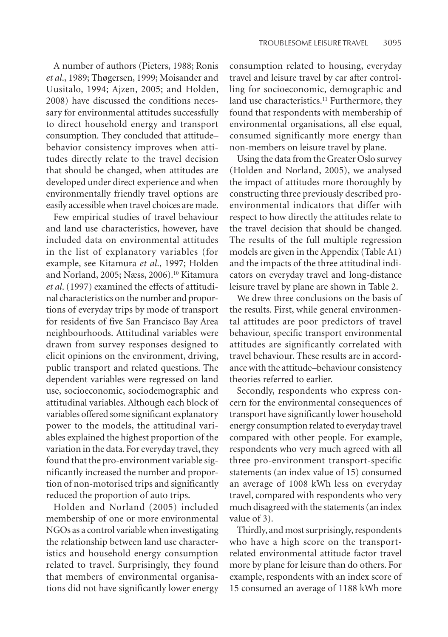A number of authors (Pieters, 1988; Ronis *et al*., 1989; Thøgersen, 1999; Moisander and Uusitalo, 1994; Ajzen, 2005; and Holden, 2008) have discussed the conditions necessary for environmental attitudes successfully to direct household energy and transport consumption. They concluded that attitude– behavior consistency improves when attitudes directly relate to the travel decision that should be changed, when attitudes are developed under direct experience and when environmentally friendly travel options are easily accessible when travel choices are made.

Few empirical studies of travel behaviour and land use characteristics, however, have included data on environmental attitudes in the list of explanatory variables (for example, see Kitamura *et al*., 1997; Holden and Norland, 2005; Næss, 2006).10 Kitamura *et al*. (1997) examined the effects of attitudinal characteristics on the number and proportions of everyday trips by mode of transport for residents of five San Francisco Bay Area neighbourhoods. Attitudinal variables were drawn from survey responses designed to elicit opinions on the environment, driving, public transport and related questions. The dependent variables were regressed on land use, socioeconomic, sociodemographic and attitudinal variables. Although each block of variables offered some significant explanatory power to the models, the attitudinal variables explained the highest proportion of the variation in the data. For everyday travel, they found that the pro-environment variable significantly increased the number and proportion of non-motorised trips and significantly reduced the proportion of auto trips.

Holden and Norland (2005) included membership of one or more environmental NGOs as a control variable when investigating the relationship between land use characteristics and household energy consumption related to travel. Surprisingly, they found that members of environmental organisations did not have significantly lower energy consumption related to housing, everyday travel and leisure travel by car after controlling for socioeconomic, demographic and land use characteristics.<sup>11</sup> Furthermore, they found that respondents with membership of environmental organisations, all else equal, consumed significantly more energy than non-members on leisure travel by plane.

Using the data from the Greater Oslo survey (Holden and Norland, 2005), we analysed the impact of attitudes more thoroughly by constructing three previously described proenvironmental indicators that differ with respect to how directly the attitudes relate to the travel decision that should be changed. The results of the full multiple regression models are given in the Appendix (Table A1) and the impacts of the three attitudinal indicators on everyday travel and long-distance leisure travel by plane are shown in Table 2.

We drew three conclusions on the basis of the results. First, while general environmental attitudes are poor predictors of travel behaviour, specific transport environmental attitudes are significantly correlated with travel behaviour. These results are in accordance with the attitude–behaviour consistency theories referred to earlier.

Secondly, respondents who express concern for the environmental consequences of transport have significantly lower household energy consumption related to everyday travel compared with other people. For example, respondents who very much agreed with all three pro-environment transport-specific statements (an index value of 15) consumed an average of 1008 kWh less on everyday travel, compared with respondents who very much disagreed with the statements (an index value of 3).

Thirdly, and most surprisingly, respondents who have a high score on the transportrelated environmental attitude factor travel more by plane for leisure than do others. For example, respondents with an index score of 15 consumed an average of 1188 kWh more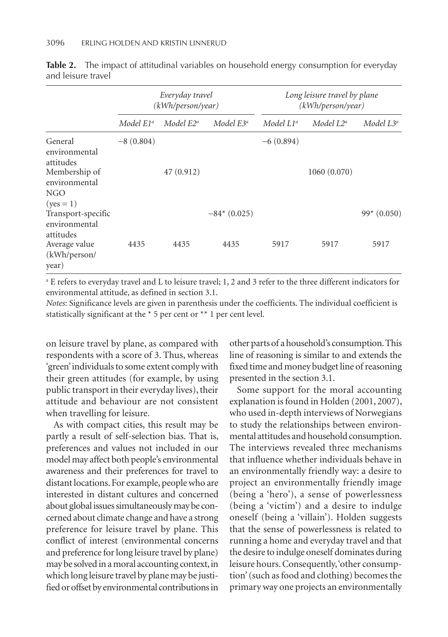|                                                                 |              | Everyday travel<br>(kWh/person/year) |               |              | Long leisure travel by plane<br>(kWh/person/year) |              |
|-----------------------------------------------------------------|--------------|--------------------------------------|---------------|--------------|---------------------------------------------------|--------------|
|                                                                 | Model $E1^a$ | Model $E2^a$                         | Model $E3^a$  | Model $L1^a$ | Model $L2^a$                                      | Model $L3^a$ |
| General<br>environmental<br>attitudes                           | $-8(0.804)$  |                                      |               | $-6(0.894)$  |                                                   |              |
| Membership of<br>environmental<br>NGO                           |              | 47(0.912)                            |               |              | 1060(0.070)                                       |              |
| $(yes = 1)$<br>Transport-specific<br>environmental<br>attitudes |              |                                      | $-84*(0.025)$ |              |                                                   | $99*(0.050)$ |
| Average value<br>(kWh/person/<br>year)                          | 4435         | 4435                                 | 4435          | 5917         | 5917                                              | 5917         |

**Table 2.** The impact of attitudinal variables on household energy consumption for everyday and leisure travel

a E refers to everyday travel and L to leisure travel; 1, 2 and 3 refer to the three different indicators for environmental attitude, as defined in section 3.1.

*Notes*: Significance levels are given in parenthesis under the coefficients. The individual coefficient is statistically significant at the \* 5 per cent or \*\* 1 per cent level.

on leisure travel by plane, as compared with respondents with a score of 3. Thus, whereas 'green' individuals to some extent comply with their green attitudes (for example, by using public transport in their everyday lives), their attitude and behaviour are not consistent when travelling for leisure.

As with compact cities, this result may be partly a result of self-selection bias. That is, preferences and values not included in our model may affect both people's environmental awareness and their preferences for travel to distant locations. For example, people who are interested in distant cultures and concerned about global issues simultaneously may be concerned about climate change and have a strong preference for leisure travel by plane. This conflict of interest (environmental concerns and preference for long leisure travel by plane) may be solved in a moral accounting context, in which long leisure travel by plane may be justified or offset by environmental contributions in other parts of a household's consumption. This line of reasoning is similar to and extends the fixed time and money budget line of reasoning presented in the section 3.1.

Some support for the moral accounting explanation is found in Holden (2001, 2007), who used in-depth interviews of Norwegians to study the relationships between environmental attitudes and household consumption. The interviews revealed three mechanisms that influence whether individuals behave in an environmentally friendly way: a desire to project an environmentally friendly image (being a 'hero'), a sense of powerlessness (being a 'victim') and a desire to indulge oneself (being a 'villain'). Holden suggests that the sense of powerlessness is related to running a home and everyday travel and that the desire to indulge oneself dominates during leisure hours. Consequently, 'other consumption' (such as food and clothing) becomes the primary way one projects an environmentally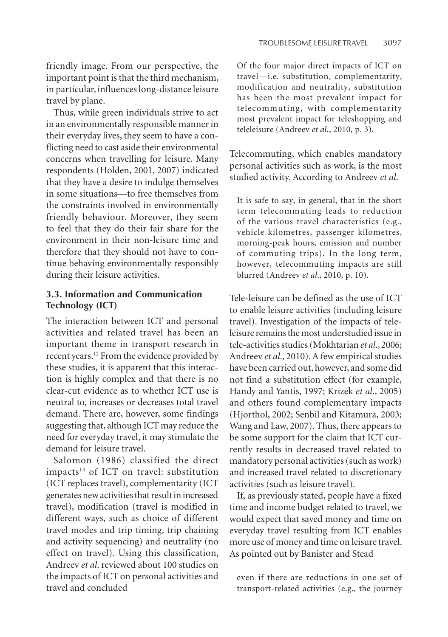friendly image. From our perspective, the important point is that the third mechanism, in particular, influences long-distance leisure travel by plane.

Thus, while green individuals strive to act in an environmentally responsible manner in their everyday lives, they seem to have a conflicting need to cast aside their environmental concerns when travelling for leisure. Many respondents (Holden, 2001, 2007) indicated that they have a desire to indulge themselves in some situations—to free themselves from the constraints involved in environmentally friendly behaviour. Moreover, they seem to feel that they do their fair share for the environment in their non-leisure time and therefore that they should not have to continue behaving environmentally responsibly during their leisure activities.

#### **3.3. Information and Communication Technology (ICT)**

The interaction between ICT and personal activities and related travel has been an important theme in transport research in recent years.12 From the evidence provided by these studies, it is apparent that this interaction is highly complex and that there is no clear-cut evidence as to whether ICT use is neutral to, increases or decreases total travel demand. There are, however, some findings suggesting that, although ICT may reduce the need for everyday travel, it may stimulate the demand for leisure travel.

Salomon (1986) classified the direct impacts<sup>13</sup> of ICT on travel: substitution (ICT replaces travel), complementarity (ICT generates new activities that result in increased travel), modification (travel is modified in different ways, such as choice of different travel modes and trip timing, trip chaining and activity sequencing) and neutrality (no effect on travel). Using this classification, Andreev *et al*. reviewed about 100 studies on the impacts of ICT on personal activities and travel and concluded

Of the four major direct impacts of ICT on travel—i.e. substitution, complementarity, modification and neutrality, substitution has been the most prevalent impact for telecommuting, with complementarity most prevalent impact for teleshopping and teleleisure (Andreev *et al*., 2010, p. 3).

Telecommuting, which enables mandatory personal activities such as work, is the most studied activity. According to Andreev *et al*.

It is safe to say, in general, that in the short term telecommuting leads to reduction of the various travel characteristics (e.g., vehicle kilometres, passenger kilometres, morning-peak hours, emission and number of commuting trips). In the long term, however, telecommuting impacts are still blurred (Andreev *et al*., 2010, p. 10).

Tele-leisure can be defined as the use of ICT to enable leisure activities (including leisure travel). Investigation of the impacts of teleleisure remains the most understudied issue in tele-activities studies (Mokhtarian *et al*., 2006; Andreev *et al*., 2010). A few empirical studies have been carried out, however, and some did not find a substitution effect (for example, Handy and Yantis, 1997; Krizek *et al*., 2005) and others found complementary impacts (Hjorthol, 2002; Senbil and Kitamura, 2003; Wang and Law, 2007). Thus, there appears to be some support for the claim that ICT currently results in decreased travel related to mandatory personal activities (such as work) and increased travel related to discretionary activities (such as leisure travel).

If, as previously stated, people have a fixed time and income budget related to travel, we would expect that saved money and time on everyday travel resulting from ICT enables more use of money and time on leisure travel. As pointed out by Banister and Stead

even if there are reductions in one set of transport-related activities (e.g., the journey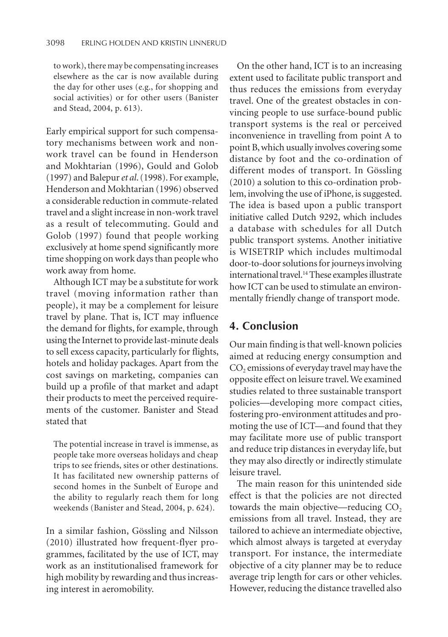to work), there may be compensating increases elsewhere as the car is now available during the day for other uses (e.g., for shopping and social activities) or for other users (Banister and Stead, 2004, p. 613).

Early empirical support for such compensatory mechanisms between work and nonwork travel can be found in Henderson and Mokhtarian (1996), Gould and Golob (1997) and Balepur *et al*. (1998). For example, Henderson and Mokhtarian (1996) observed a considerable reduction in commute-related travel and a slight increase in non-work travel as a result of telecommuting. Gould and Golob (1997) found that people working exclusively at home spend significantly more time shopping on work days than people who work away from home.

Although ICT may be a substitute for work travel (moving information rather than people), it may be a complement for leisure travel by plane. That is, ICT may influence the demand for flights, for example, through using the Internet to provide last-minute deals to sell excess capacity, particularly for flights, hotels and holiday packages. Apart from the cost savings on marketing, companies can build up a profile of that market and adapt their products to meet the perceived requirements of the customer. Banister and Stead stated that

The potential increase in travel is immense, as people take more overseas holidays and cheap trips to see friends, sites or other destinations. It has facilitated new ownership patterns of second homes in the Sunbelt of Europe and the ability to regularly reach them for long weekends (Banister and Stead, 2004, p. 624).

In a similar fashion, Gössling and Nilsson (2010) illustrated how frequent-flyer programmes, facilitated by the use of ICT, may work as an institutionalised framework for high mobility by rewarding and thus increasing interest in aeromobility.

On the other hand, ICT is to an increasing extent used to facilitate public transport and thus reduces the emissions from everyday travel. One of the greatest obstacles in convincing people to use surface-bound public transport systems is the real or perceived inconvenience in travelling from point A to point B, which usually involves covering some distance by foot and the co-ordination of different modes of transport. In Gössling (2010) a solution to this co-ordination problem, involving the use of iPhone, is suggested. The idea is based upon a public transport initiative called Dutch 9292, which includes a database with schedules for all Dutch public transport systems. Another initiative is WISETRIP which includes multimodal door-to-door solutions for journeys involving international travel.<sup>14</sup> These examples illustrate how ICT can be used to stimulate an environmentally friendly change of transport mode.

## **4. Conclusion**

Our main finding is that well-known policies aimed at reducing energy consumption and CO<sub>2</sub> emissions of everyday travel may have the opposite effect on leisure travel. We examined studies related to three sustainable transport policies—developing more compact cities, fostering pro-environment attitudes and promoting the use of ICT—and found that they may facilitate more use of public transport and reduce trip distances in everyday life, but they may also directly or indirectly stimulate leisure travel.

The main reason for this unintended side effect is that the policies are not directed towards the main objective—reducing  $CO<sub>2</sub>$ emissions from all travel. Instead, they are tailored to achieve an intermediate objective, which almost always is targeted at everyday transport. For instance, the intermediate objective of a city planner may be to reduce average trip length for cars or other vehicles. However, reducing the distance travelled also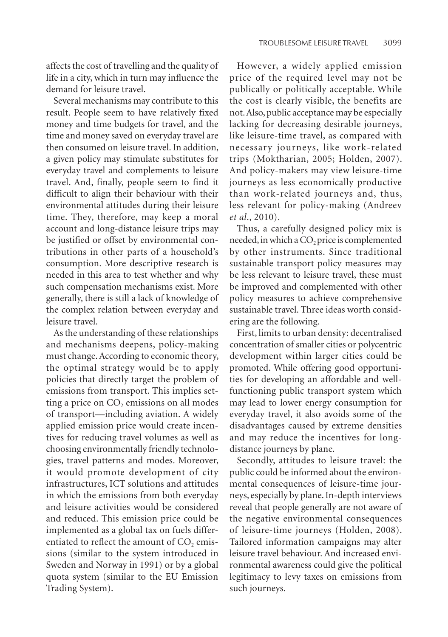affects the cost of travelling and the quality of life in a city, which in turn may influence the demand for leisure travel.

Several mechanisms may contribute to this result. People seem to have relatively fixed money and time budgets for travel, and the time and money saved on everyday travel are then consumed on leisure travel. In addition, a given policy may stimulate substitutes for everyday travel and complements to leisure travel. And, finally, people seem to find it difficult to align their behaviour with their environmental attitudes during their leisure time. They, therefore, may keep a moral account and long-distance leisure trips may be justified or offset by environmental contributions in other parts of a household's consumption. More descriptive research is needed in this area to test whether and why such compensation mechanisms exist. More generally, there is still a lack of knowledge of the complex relation between everyday and leisure travel.

As the understanding of these relationships and mechanisms deepens, policy-making must change. According to economic theory, the optimal strategy would be to apply policies that directly target the problem of emissions from transport. This implies setting a price on  $CO<sub>2</sub>$  emissions on all modes of transport—including aviation. A widely applied emission price would create incentives for reducing travel volumes as well as choosing environmentally friendly technologies, travel patterns and modes. Moreover, it would promote development of city infrastructures, ICT solutions and attitudes in which the emissions from both everyday and leisure activities would be considered and reduced. This emission price could be implemented as a global tax on fuels differentiated to reflect the amount of  $CO<sub>2</sub>$  emissions (similar to the system introduced in Sweden and Norway in 1991) or by a global quota system (similar to the EU Emission Trading System).

However, a widely applied emission price of the required level may not be publically or politically acceptable. While the cost is clearly visible, the benefits are not. Also, public acceptance may be especially lacking for decreasing desirable journeys, like leisure-time travel, as compared with necessary journeys, like work-related trips (Moktharian, 2005; Holden, 2007). And policy-makers may view leisure-time journeys as less economically productive than work-related journeys and, thus, less relevant for policy-making (Andreev *et al*., 2010).

Thus, a carefully designed policy mix is needed, in which a CO<sub>2</sub> price is complemented by other instruments. Since traditional sustainable transport policy measures may be less relevant to leisure travel, these must be improved and complemented with other policy measures to achieve comprehensive sustainable travel. Three ideas worth considering are the following.

First, limits to urban density: decentralised concentration of smaller cities or polycentric development within larger cities could be promoted. While offering good opportunities for developing an affordable and wellfunctioning public transport system which may lead to lower energy consumption for everyday travel, it also avoids some of the disadvantages caused by extreme densities and may reduce the incentives for longdistance journeys by plane.

Secondly, attitudes to leisure travel: the public could be informed about the environmental consequences of leisure-time journeys, especially by plane. In-depth interviews reveal that people generally are not aware of the negative environmental consequences of leisure-time journeys (Holden, 2008). Tailored information campaigns may alter leisure travel behaviour. And increased environmental awareness could give the political legitimacy to levy taxes on emissions from such journeys.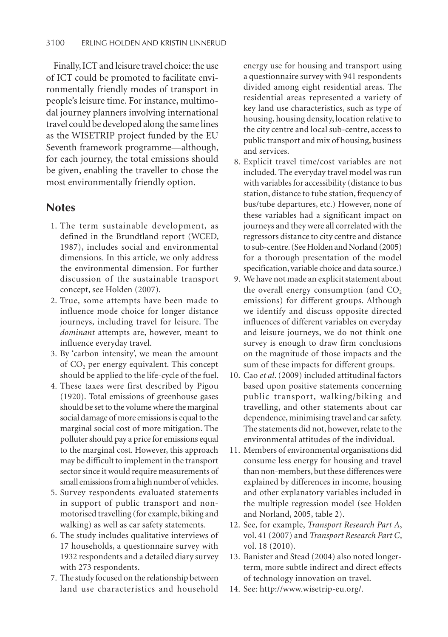Finally, ICT and leisure travel choice: the use of ICT could be promoted to facilitate environmentally friendly modes of transport in people's leisure time. For instance, multimodal journey planners involving international travel could be developed along the same lines as the WISETRIP project funded by the EU Seventh framework programme—although, for each journey, the total emissions should be given, enabling the traveller to chose the most environmentally friendly option.

#### **Notes**

- 1. The term sustainable development, as defined in the Brundtland report (WCED, 1987), includes social and environmental dimensions. In this article, we only address the environmental dimension. For further discussion of the sustainable transport concept, see Holden (2007).
- 2. True, some attempts have been made to influence mode choice for longer distance journeys, including travel for leisure. The *dominant* attempts are, however, meant to influence everyday travel.
- 3. By 'carbon intensity', we mean the amount of CO<sub>2</sub> per energy equivalent. This concept should be applied to the life-cycle of the fuel.
- 4. These taxes were first described by Pigou (1920). Total emissions of greenhouse gases should be set to the volume where the marginal social damage of more emissions is equal to the marginal social cost of more mitigation. The polluter should pay a price for emissions equal to the marginal cost. However, this approach may be difficult to implement in the transport sector since it would require measurements of small emissions from a high number of vehicles.
- 5. Survey respondents evaluated statements in support of public transport and nonmotorised travelling (for example, biking and walking) as well as car safety statements.
- 6. The study includes qualitative interviews of 17 households, a questionnaire survey with 1932 respondents and a detailed diary survey with 273 respondents.
- 7. The study focused on the relationship between land use characteristics and household

energy use for housing and transport using a questionnaire survey with 941 respondents divided among eight residential areas. The residential areas represented a variety of key land use characteristics, such as type of housing, housing density, location relative to the city centre and local sub-centre, access to public transport and mix of housing, business and services.

- 8. Explicit travel time/cost variables are not included. The everyday travel model was run with variables for accessibility (distance to bus station, distance to tube station, frequency of bus/tube departures, etc.) However, none of these variables had a significant impact on journeys and they were all correlated with the regressors distance to city centre and distance to sub-centre. (See Holden and Norland (2005) for a thorough presentation of the model specification, variable choice and data source.)
- 9. We have not made an explicit statement about the overall energy consumption (and  $CO<sub>2</sub>$ ) emissions) for different groups. Although we identify and discuss opposite directed influences of different variables on everyday and leisure journeys, we do not think one survey is enough to draw firm conclusions on the magnitude of those impacts and the sum of these impacts for different groups.
- 10. Cao *et al*. (2009) included attitudinal factors based upon positive statements concerning public transport, walking/biking and travelling, and other statements about car dependence, minimising travel and car safety. The statements did not, however, relate to the environmental attitudes of the individual.
- 11. Members of environmental organisations did consume less energy for housing and travel than non-members, but these differences were explained by differences in income, housing and other explanatory variables included in the multiple regression model (see Holden and Norland, 2005, table 2).
- 12. See, for example, *Transport Research Part A*, vol. 41 (2007) and *Transport Research Part C*, vol. 18 (2010).
- 13. Banister and Stead (2004) also noted longerterm, more subtle indirect and direct effects of technology innovation on travel.
- 14. See: http://www.wisetrip-eu.org/.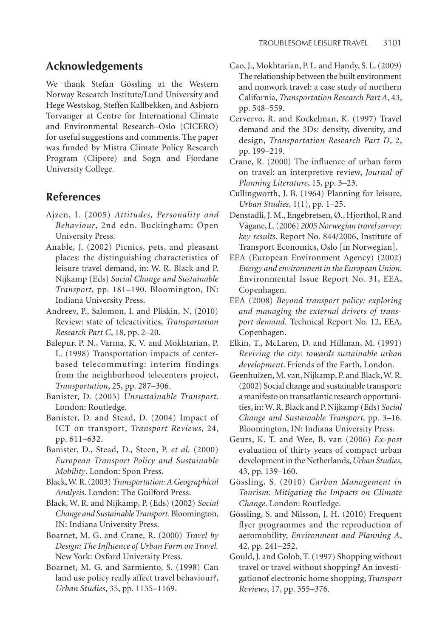## **Acknowledgements**

We thank Stefan Gössling at the Western Norway Research Institute/Lund University and Hege Westskog, Steffen Kallbekken, and Asbjørn Torvanger at Centre for International Climate and Environmental Research–Oslo (CICERO) for useful suggestions and comments. The paper was funded by Mistra Climate Policy Research Program (Clipore) and Sogn and Fjordane University College.

## **References**

- Ajzen, I. (2005) *Attitudes, Personality and Behaviour*, 2nd edn. Buckingham: Open University Press.
- Anable, J. (2002) Picnics, pets, and pleasant places: the distinguishing characteristics of leisure travel demand, in: W. R. Black and P. Nijkamp (Eds) *Social Change and Sustainable Transport*, pp. 181–190. Bloomington, IN: Indiana University Press.
- Andreev, P., Salomon, I. and Pliskin, N. (2010) Review: state of teleactivities, *Transportation Research Part C*, 18, pp. 2–20.
- Balepur, P. N., Varma, K. V. and Mokhtarian, P. L. (1998) Transportation impacts of centerbased telecommuting: interim findings from the neighborhood telecenters project, *Transportation*, 25, pp. 287–306.
- Banister, D. (2005) *Unsustainable Transport*. London: Routledge.
- Banister, D. and Stead, D. (2004) Impact of ICT on transport, *Transport Reviews*, 24, pp. 611–632.
- Banister, D., Stead, D., Steen, P. *et al.* (2000) *European Transport Policy and Sustainable Mobility*. London: Spon Press.
- Black, W. R. (2003) *Transportation: A Geographical Analysis*. London: The Guilford Press.
- Black, W. R. and Nijkamp, P. (Eds) (2002) *Social Change and Sustainable Transport.* Bloomington, IN: Indiana University Press.
- Boarnet, M. G. and Crane, R. (2000) *Travel by Design: The Influence of Urban Form on Travel.* New York: Oxford University Press.
- Boarnet, M. G. and Sarmiento, S. (1998) Can land use policy really affect travel behaviour?, *Urban Studies*, 35, pp. 1155–1169.
- Cao, J., Mokhtarian, P. L. and Handy, S. L. (2009) The relationship between the built environment and nonwork travel: a case study of northern California, *Transportation Research Part A*, 43, pp. 548–559.
- Cervervo, R. and Kockelman, K. (1997) Travel demand and the 3Ds: density, diversity, and design, *Transportation Research Part D*, 2, pp. 199–219.
- Crane, R. (2000) The influence of urban form on travel: an interpretive review, *Journal of Planning Literature*, 15, pp. 3–23.
- Cullingworth, J. B. (1964) Planning for leisure, *Urban Studies*, 1(1), pp. 1–25.
- Denstadli, J. M., Engebretsen, Ø., Hjorthol, R and Vågane, L. (2006) *2005 Norwegian travel survey: key results*. Report No. 844/2006, Institute of Transport Economics, Oslo [in Norwegian].
- EEA (European Environment Agency) (2002) *Energy and environment in the European Union*. Environmental Issue Report No. 31, EEA, Copenhagen.
- EEA (2008) *Beyond transport policy: exploring and managing the external drivers of transport demand.* Technical Report No. 12, EEA, Copenhagen.
- Elkin, T., McLaren, D. and Hillman, M. (1991) *Reviving the city: towards sustainable urban development*. Friends of the Earth, London.
- Geenhuizen, M. van, Nijkamp, P. and Black, W. R. (2002) Social change and sustainable transport: a manifesto on transatlantic research opportunities, in: W. R. Black and P. Nijkamp (Eds) *Social Change and Sustainable Transport*, pp. 3–16. Bloomington, IN: Indiana University Press.
- Geurs, K. T. and Wee, B. van (2006) *Ex-post* evaluation of thirty years of compact urban development in the Netherlands, *Urban Studies*, 43, pp. 139–160.
- Gössling, S. (2010) *Carbon Management in Tourism: Mitigating the Impacts on Climate Change*. London: Routledge.
- Gössling, S. and Nilsson, J. H. (2010) Frequent flyer programmes and the reproduction of aeromobility, *Environment and Planning A*, 42, pp. 241–252.
- Gould, J. and Golob, T. (1997) Shopping without travel or travel without shopping? An investigationof electronic home shopping, *Transport Reviews*, 17, pp. 355–376.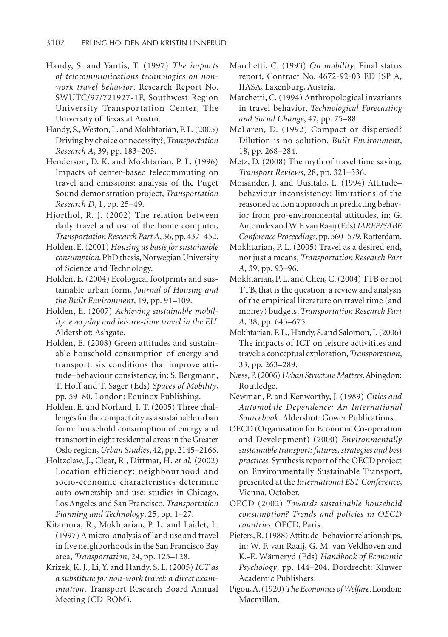- Handy, S. and Yantis, T. (1997) *The impacts of telecommunications technologies on nonwork travel behavior*. Research Report No. SWUTC/97/721927-1F, Southwest Region University Transportation Center, The University of Texas at Austin.
- Handy, S., Weston, L. and Mokhtarian, P. L. (2005) Driving by choice or necessity?, *Transportation Research A*, 39, pp. 183–203.
- Henderson, D. K. and Mokhtarian, P. L. (1996) Impacts of center-based telecommuting on travel and emissions: analysis of the Puget Sound demonstration project, *Transportation Research D*, 1, pp. 25–49.
- Hjorthol, R. J. (2002) The relation between daily travel and use of the home computer, *Transportation Research Part A*, 36, pp. 437–452.
- Holden, E. (2001) *Housing as basis for sustainable consumption*. PhD thesis, Norwegian University of Science and Technology.
- Holden, E. (2004) Ecological footprints and sustainable urban form, *Journal of Housing and the Built Environment*, 19, pp. 91–109.
- Holden, E. (2007) *Achieving sustainable mobility: everyday and leisure-time travel in the EU.*  Aldershot: Ashgate.
- Holden, E. (2008) Green attitudes and sustainable household consumption of energy and transport: six conditions that improve attitude–behaviour consistency, in: S. Bergmann, T. Hoff and T. Sager (Eds) *Spaces of Mobility*, pp. 59–80. London: Equinox Publishing.
- Holden, E. and Norland, I. T. (2005) Three challenges for the compact city as a sustainable urban form: household consumption of energy and transport in eight residential areas in the Greater Oslo region, *Urban Studies*, 42, pp. 2145–2166.
- Holtzclaw, J., Clear, R., Dittmar, H. *et al.* (2002) Location efficiency: neighbourhood and socio-economic characteristics determine auto ownership and use: studies in Chicago, Los Angeles and San Francisco, *Transportation Planning and Technology*, 25, pp. 1–27.
- Kitamura, R., Mokhtarian, P. L. and Laidet, L. (1997) A micro-analysis of land use and travel in five neighborhoods in the San Francisco Bay area, *Transportation*, 24, pp. 125–128.
- Krizek, K. J., Li, Y. and Handy, S. L. (2005) *ICT as a substitute for non-work travel: a direct examiniation*. Transport Research Board Annual Meeting (CD-ROM).
- Marchetti, C. (1993) *On mobility*. Final status report, Contract No. 4672-92-03 ED ISP A, IIASA, Laxenburg, Austria.
- Marchetti, C. (1994) Anthropological invariants in travel behavior, *Technological Forecasting and Social Change*, 47, pp. 75–88.
- McLaren, D. (1992) Compact or dispersed? Dilution is no solution, *Built Environment*, 18, pp. 268–284.
- Metz, D. (2008) The myth of travel time saving, *Transport Reviews*, 28, pp. 321–336.
- Moisander, J. and Uusitalo, L. (1994) Attitude– behaviour inconsistency: limitations of the reasoned action approach in predicting behavior from pro-environmental attitudes, in: G. Antonides and W. F. van Raaij (Eds) *IAREP/SABE Conference Proceedings*, pp. 560–579. Rotterdam.
- Mokhtarian, P. L. (2005) Travel as a desired end, not just a means, *Transportation Research Part A*, 39, pp. 93–96.
- Mokhtarian, P. L. and Chen, C. (2004) TTB or not TTB, that is the question: a review and analysis of the empirical literature on travel time (and money) budgets, *Transportation Research Part A*, 38, pp. 643–675.
- Mokhtarian, P. L., Handy, S. and Salomon, I. (2006) The impacts of ICT on leisure activitites and travel: a conceptual exploration, *Transportation*, 33, pp. 263–289.
- Næss, P. (2006) *Urban Structure Matters*. Abingdon: Routledge.
- Newman, P. and Kenworthy, J. (1989) *Cities and Automobile Dependence: An International Sourcebook.* Aldershot: Gower Publications.
- OECD (Organisation for Economic Co-operation and Development) (2000) *Environmentally sustainable transport: futures, strategies and best practices*. Synthesis report of the OECD project on Environmentally Sustainable Transport, presented at the *International EST Conference*, Vienna, October.
- OECD (2002) *Towards sustainable household consumption? Trends and policies in OECD countries*. OECD, Paris.
- Pieters, R. (1988) Attitude–behavior relationships, in: W. F. van Raaij, G. M. van Veldhoven and K.-E. Wärneryd (Eds) *Handbook of Economic Psychology*, pp. 144–204. Dordrecht: Kluwer Academic Publishers.
- Pigou, A. (1920) *The Economics of Welfare*. London: Macmillan.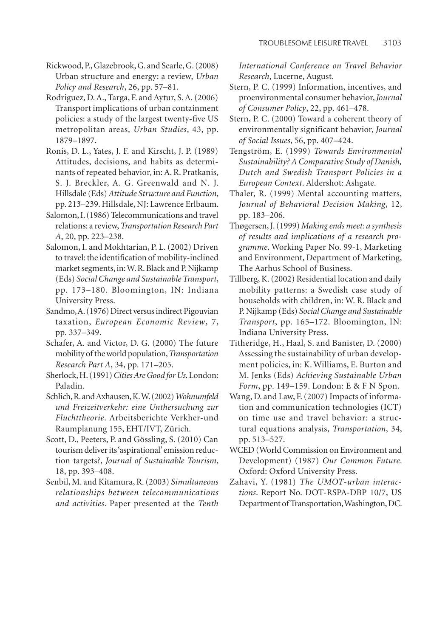- Rickwood, P., Glazebrook, G. and Searle, G. (2008) Urban structure and energy: a review, *Urban Policy and Research*, 26, pp. 57–81.
- Rodriguez, D. A., Targa, F. and Aytur, S. A. (2006) Transport implications of urban containment policies: a study of the largest twenty-five US metropolitan areas, *Urban Studies*, 43, pp. 1879–1897.
- Ronis, D. L., Yates, J. F. and Kirscht, J. P. (1989) Attitudes, decisions, and habits as determinants of repeated behavior, in: A. R. Pratkanis, S. J. Breckler, A. G. Greenwald and N. J. Hillsdale (Eds) *Attitude Structure and Function*, pp. 213–239. Hillsdale, NJ: Lawrence Erlbaum.
- Salomon, I. (1986) Telecommunications and travel relations: a review, *Transportation Research Part A*, 20, pp. 223–238.
- Salomon, I. and Mokhtarian, P. L. (2002) Driven to travel: the identification of mobility-inclined market segments, in: W. R. Black and P. Nijkamp (Eds) *Social Change and Sustainable Transport*, pp. 173–180. Bloomington, IN: Indiana University Press.
- Sandmo, A. (1976) Direct versus indirect Pigouvian taxation, *European Economic Review*, 7, pp. 337–349.
- Schafer, A. and Victor, D. G. (2000) The future mobility of the world population, *Transportation Research Part A*, 34, pp. 171–205.
- Sherlock, H. (1991) *Cities Are Good for Us*. London: Paladin.
- Schlich, R. and Axhausen, K. W. (2002) *Wohnumfeld und Freizeitverkehr: eine Unthersuchung zur Fluchttheorie*. Arbeitsberichte Verkher-und Raumplanung 155, EHT/IVT, Zürich.
- Scott, D., Peeters, P. and Gössling, S. (2010) Can tourism deliver its 'aspirational' emission reduction targets?, *Journal of Sustainable Tourism*, 18, pp. 393–408.
- Senbil, M. and Kitamura, R. (2003) *Simultaneous relationships between telecommunications and activities*. Paper presented at the *Tenth*

*International Conference on Travel Behavior Research*, Lucerne, August.

- Stern, P. C. (1999) Information, incentives, and proenvironmental consumer behavior, *Journal of Consumer Policy*, 22, pp. 461–478.
- Stern, P. C. (2000) Toward a coherent theory of environmentally significant behavior, *Journal of Social Issues*, 56, pp. 407–424.
- Tengström, E. (1999) *Towards Environmental Sustainability? A Comparative Study of Danish, Dutch and Swedish Transport Policies in a European Context*. Aldershot: Ashgate.
- Thaler, R. (1999) Mental accounting matters, *Journal of Behavioral Decision Making*, 12, pp. 183–206.
- Thøgersen, J. (1999) *Making ends meet: a synthesis of results and implications of a research programme*. Working Paper No. 99-1, Marketing and Environment, Department of Marketing, The Aarhus School of Business.
- Tillberg, K. (2002) Residential location and daily mobility patterns: a Swedish case study of households with children, in: W. R. Black and P. Nijkamp (Eds) *Social Change and Sustainable Transport*, pp. 165–172. Bloomington, IN: Indiana University Press.
- Titheridge, H., Haal, S. and Banister, D. (2000) Assessing the sustainability of urban development policies, in: K. Williams, E. Burton and M. Jenks (Eds) *Achieving Sustainable Urban Form*, pp. 149–159. London: E & F N Spon.
- Wang, D. and Law, F. (2007) Impacts of information and communication technologies (ICT) on time use and travel behavior: a structural equations analysis, *Transportation*, 34, pp. 513–527.
- WCED (World Commission on Environment and Development) (1987) *Our Common Future*. Oxford: Oxford University Press.
- Zahavi, Y. (1981) *The UMOT-urban interactions*. Report No. DOT-RSPA-DBP 10/7, US Department of Transportation, Washington, DC.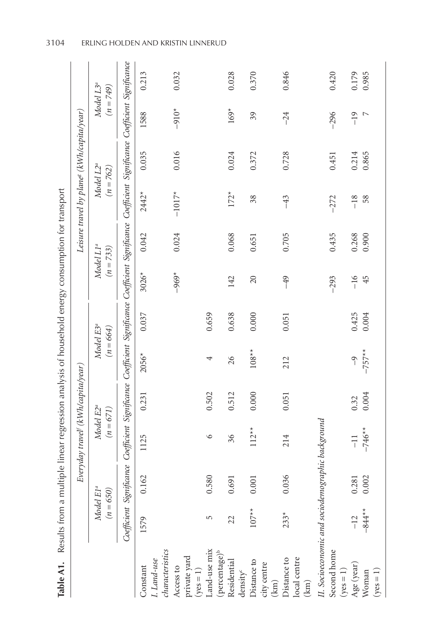| Table A1. Results from a multiple linear regression analysis of household energy consumption for transport |          |                                    |                                      |       |                          |       |         |                                                   |          |                                                        |                                      |       |
|------------------------------------------------------------------------------------------------------------|----------|------------------------------------|--------------------------------------|-------|--------------------------|-------|---------|---------------------------------------------------|----------|--------------------------------------------------------|--------------------------------------|-------|
|                                                                                                            |          |                                    | Everyday travel (kWh/capita/year)    |       |                          |       |         |                                                   |          | Leisure travel by plane <sup>s</sup> (kWh/capita/year) |                                      |       |
|                                                                                                            |          | Model $EI^{\emph{a}}$<br>$(n=650)$ | Model E2 <sup>a</sup><br>$(n = 671)$ |       | Model E3ª<br>$(n = 664)$ |       |         | Model L1ª<br>$(n = 733)$                          |          | Model L2ª<br>$(n = 762)$                               | Model L3 <sup>a</sup><br>$(n = 749)$ |       |
|                                                                                                            |          | Coefficient Significance           | Coefficient Significance             |       |                          |       |         | Coefficient Significance Coefficient Significance |          | Coefficient Significance Coefficient Significance      |                                      |       |
| I. Land-use<br>Constant                                                                                    | 1579     | 0.162                              | 1125                                 | 0.231 | 2056*                    | 0.037 | $3026*$ | 0.042                                             | 2442*    | 0.035                                                  | 1588                                 | 0.213 |
| characteristics                                                                                            |          |                                    |                                      |       |                          |       |         |                                                   |          |                                                        |                                      |       |
| Access to                                                                                                  |          |                                    |                                      |       |                          |       | $-969*$ | 0.024                                             | $-1017*$ | 0.016                                                  | $-910*$                              | 0.032 |
| private yard                                                                                               |          |                                    |                                      |       |                          |       |         |                                                   |          |                                                        |                                      |       |
| $(yes = 1)$<br>Land-use mix                                                                                | 5        | 0.580                              | $\circ$                              | 0.502 | 4                        | 0.659 |         |                                                   |          |                                                        |                                      |       |
| (percentage) <sup>b</sup>                                                                                  |          |                                    |                                      |       |                          |       |         |                                                   |          |                                                        |                                      |       |
| Residential                                                                                                | 22       | 0.691                              | 36                                   | 0.512 | 26                       | 0.638 | 142     | 0.068                                             | $172*$   | 0.024                                                  | $169*$                               | 0.028 |
| density <sup>c</sup>                                                                                       |          |                                    |                                      |       |                          |       |         |                                                   |          |                                                        |                                      |       |
| Distance to                                                                                                | $107**$  | 0.001                              | $112**$                              | 0.000 | $108**$                  | 0.000 | 20      | 0.651                                             | 38       | 0.372                                                  | 39                                   | 0.370 |
| city centre<br>$\left( \mathrm{km}\right)$                                                                 |          |                                    |                                      |       |                          |       |         |                                                   |          |                                                        |                                      |       |
| Distance to<br>local centre                                                                                | $233*$   | 0.036                              | 214                                  | 0.051 | 212                      | 0.051 | $-49$   | 0.705                                             | $-43$    | 0.728                                                  | $-24$                                | 0.846 |
| (lam)                                                                                                      |          |                                    |                                      |       |                          |       |         |                                                   |          |                                                        |                                      |       |
| II. Socioeconomic and sociodemographic background                                                          |          |                                    |                                      |       |                          |       |         |                                                   |          |                                                        |                                      |       |
| Second home                                                                                                |          |                                    |                                      |       |                          |       | $-293$  | 0.435                                             | $-272$   | 0.451                                                  | $-296$                               | 0.420 |
| $(yes = 1)$                                                                                                |          |                                    |                                      |       |                          |       |         |                                                   |          |                                                        |                                      |       |
| Age (year)                                                                                                 |          | 0.281                              | $\overline{a}$                       | 0.32  | $\sqrt{2}$               | 0.425 | $-16$   | 0.268                                             | $-18$    | 0.214                                                  | $-19$                                | 0.179 |
| Woman                                                                                                      | $-844**$ | 0.002                              | $-746**$                             | 0.004 | $-757**$                 | 0.004 | 45      | 0.900                                             | 58       | 0.865                                                  | $\triangleright$                     | 0.985 |
| $(yes = 1)$                                                                                                |          |                                    |                                      |       |                          |       |         |                                                   |          |                                                        |                                      |       |

Table A1. Results from a multiple linear regression analysis of household energy consumption for transport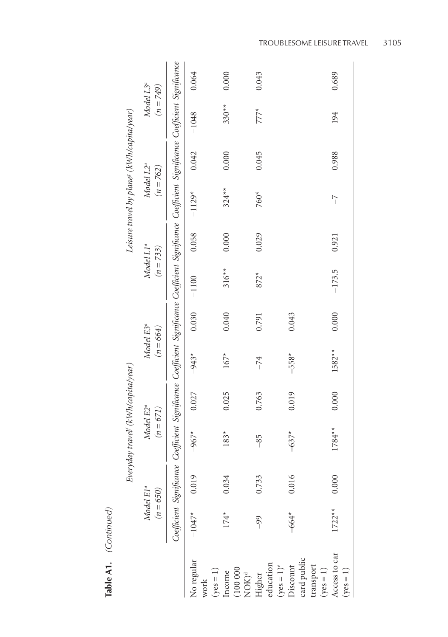|                                                                                                                                                            |          |           | Everyday travel <sup>y</sup> (kWh/capita/year)                                                                                                                                                       |       |          |           |          |           |                | Leisure travel by plane (kWh/capita/year) |           |       |
|------------------------------------------------------------------------------------------------------------------------------------------------------------|----------|-----------|------------------------------------------------------------------------------------------------------------------------------------------------------------------------------------------------------|-------|----------|-----------|----------|-----------|----------------|-------------------------------------------|-----------|-------|
|                                                                                                                                                            |          | Model E1ª | Model E2ª                                                                                                                                                                                            |       |          | Model E3ª |          | Model L1ª |                | Model L2ª                                 | Model L3ª |       |
|                                                                                                                                                            |          |           | $(n = 650)$ $(n = 671)$ $(n = 671)$ $(n = 664)$ $(n = 733)$ $(n = 762)$ $(n = 749)$ $\therefore$ $(n = 749)$ $\therefore$ $(n = 749)$ $\therefore$ $(n = 749)$ $\therefore$ $\therefore$ $(n = 749)$ |       |          |           |          |           |                |                                           |           |       |
| No regular<br>work                                                                                                                                         | $-1047*$ | 0.019     | $-967*$                                                                                                                                                                                              | 0.027 | $-943*$  | 0.030     | $-1100$  | 0.058     | $-1129*$       | 0.042                                     | $-1048$   | 0.064 |
|                                                                                                                                                            |          |           |                                                                                                                                                                                                      |       |          |           |          |           |                |                                           |           |       |
|                                                                                                                                                            | $174*$   | 0.034     | $183*$                                                                                                                                                                                               | 0.025 | $167*$   | 0.040     | $316**$  | 0.000     | $324**$        | 0.000                                     | $330**$   | 0.000 |
| (yes = 1)<br>Income<br>(100 000<br>NOK) <sup>4</sup><br>Nigher<br>education<br>education<br>(yes = 1) <sup><i>v</i></sup><br>(yes = 1) <sup><i>v</i></sup> |          |           |                                                                                                                                                                                                      |       |          |           |          |           |                |                                           |           |       |
|                                                                                                                                                            | $-99$    | 0.733     | $-85$                                                                                                                                                                                                | 0.763 | $-74$    | 0.791     | $872*$   | 0.029     | 760*           | 0.045                                     | $777*$    | 0.043 |
|                                                                                                                                                            |          |           |                                                                                                                                                                                                      |       |          |           |          |           |                |                                           |           |       |
|                                                                                                                                                            |          |           |                                                                                                                                                                                                      |       |          |           |          |           |                |                                           |           |       |
| ard public                                                                                                                                                 | $-664*$  | 0.016     | $-637*$                                                                                                                                                                                              | 0.019 | $-558*$  | 0.043     |          |           |                |                                           |           |       |
| transport                                                                                                                                                  |          |           |                                                                                                                                                                                                      |       |          |           |          |           |                |                                           |           |       |
| $(yes = 1)$                                                                                                                                                |          |           |                                                                                                                                                                                                      |       |          |           |          |           |                |                                           |           |       |
| Access to car<br>$(yes = 1)$                                                                                                                               | $1722**$ | 0.000     | $1784**$                                                                                                                                                                                             | 0.000 | $1582**$ | 0.000     | $-173.5$ | 0.921     | $\overline{7}$ | 0.988                                     | 194       | 0.689 |

Table A1. (Continued) **Table A1.** *(Continued)*